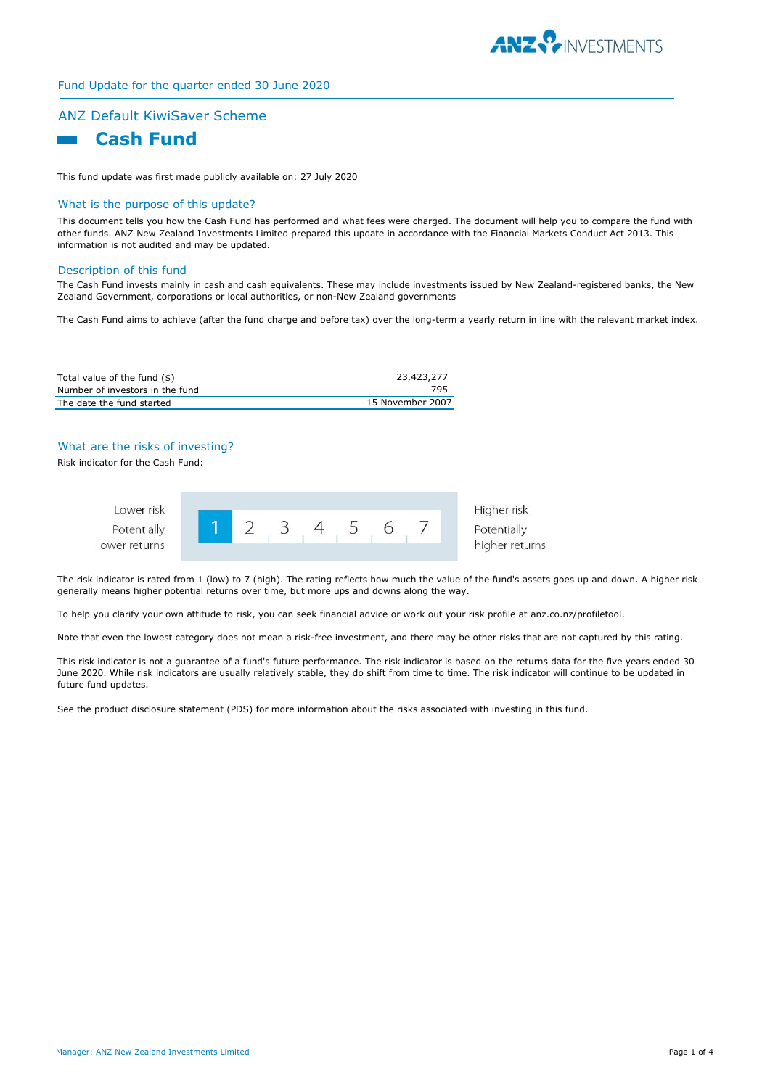

# Fund Update for the quarter ended 30 June 2020

# ANZ Default KiwiSaver Scheme  **Cash Fund**

This fund update was first made publicly available on: 27 July 2020

#### What is the purpose of this update?

This document tells you how the Cash Fund has performed and what fees were charged. The document will help you to compare the fund with other funds. ANZ New Zealand Investments Limited prepared this update in accordance with the Financial Markets Conduct Act 2013. This information is not audited and may be updated.

#### Description of this fund

The Cash Fund invests mainly in cash and cash equivalents. These may include investments issued by New Zealand-registered banks, the New Zealand Government, corporations or local authorities, or non-New Zealand governments

The Cash Fund aims to achieve (after the fund charge and before tax) over the long-term a yearly return in line with the relevant market index.

| Total value of the fund (\$)    | 23,423,277       |
|---------------------------------|------------------|
| Number of investors in the fund | 795              |
| The date the fund started       | 15 November 2007 |

### What are the risks of investing?

Risk indicator for the Cash Fund:



The risk indicator is rated from 1 (low) to 7 (high). The rating reflects how much the value of the fund's assets goes up and down. A higher risk generally means higher potential returns over time, but more ups and downs along the way.

To help you clarify your own attitude to risk, you can seek financial advice or work out your risk profile at anz.co.nz/profiletool.

Note that even the lowest category does not mean a risk-free investment, and there may be other risks that are not captured by this rating.

This risk indicator is not a guarantee of a fund's future performance. The risk indicator is based on the returns data for the five years ended 30 June 2020. While risk indicators are usually relatively stable, they do shift from time to time. The risk indicator will continue to be updated in future fund updates.

See the product disclosure statement (PDS) for more information about the risks associated with investing in this fund.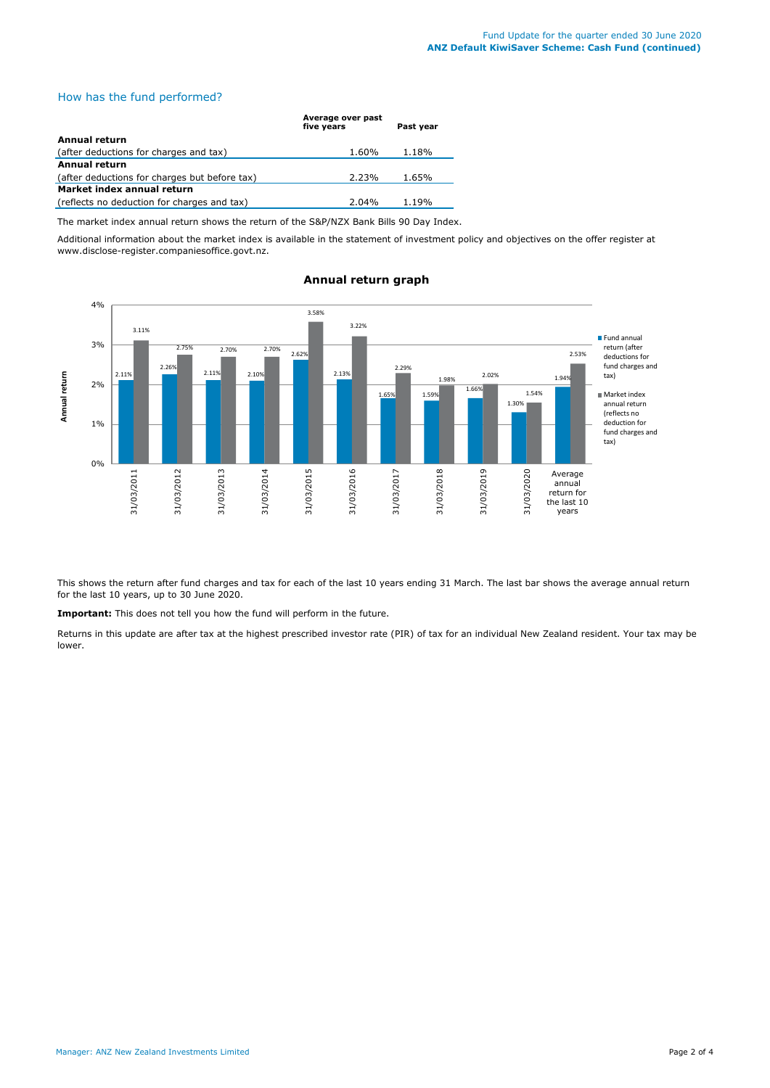## How has the fund performed?

|                                               | Average over past<br>five years | Past year |
|-----------------------------------------------|---------------------------------|-----------|
| Annual return                                 |                                 |           |
| (after deductions for charges and tax)        | 1.60%                           | 1.18%     |
| Annual return                                 |                                 |           |
| (after deductions for charges but before tax) | 2.23%                           | 1.65%     |
| Market index annual return                    |                                 |           |
| (reflects no deduction for charges and tax)   | $2.04\%$                        | 1.19%     |

The market index annual return shows the return of the S&P/NZX Bank Bills 90 Day Index.

Additional information about the market index is available in the statement of investment policy and objectives on the offer register at www.disclose-register.companiesoffice.govt.nz.



# **Annual return graph**

This shows the return after fund charges and tax for each of the last 10 years ending 31 March. The last bar shows the average annual return for the last 10 years, up to 30 June 2020.

**Important:** This does not tell you how the fund will perform in the future.

Returns in this update are after tax at the highest prescribed investor rate (PIR) of tax for an individual New Zealand resident. Your tax may be lower.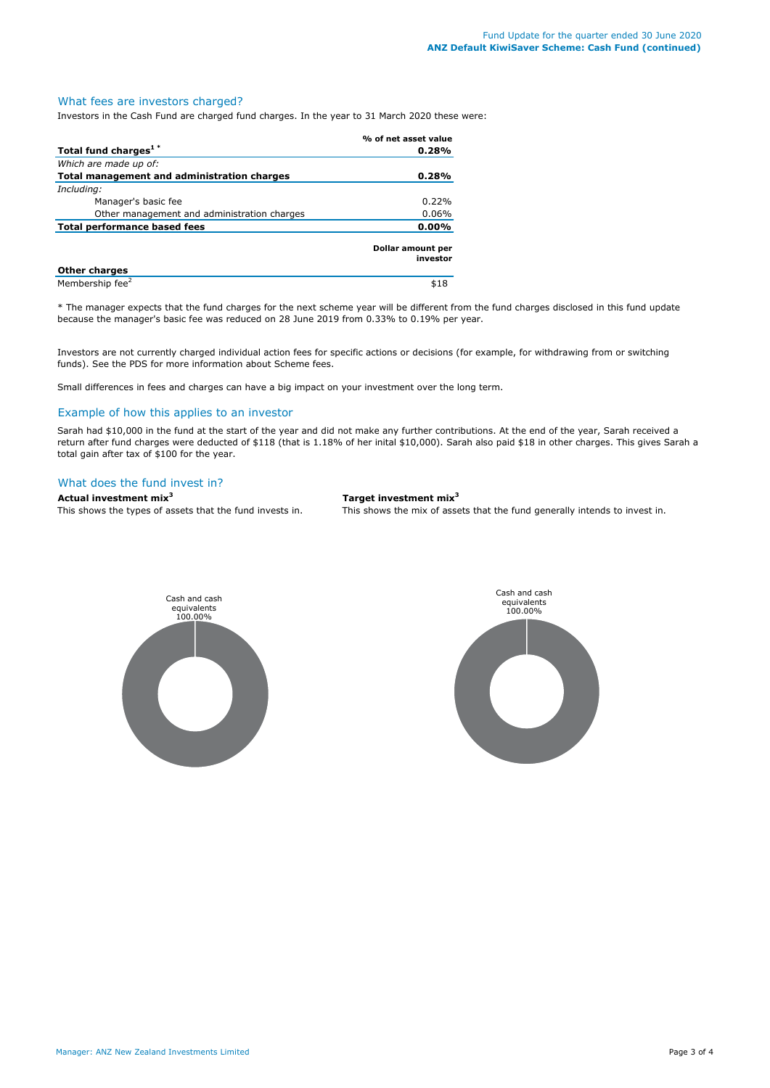#### What fees are investors charged?

Investors in the Cash Fund are charged fund charges. In the year to 31 March 2020 these were:

|                                             | % of net asset value          |
|---------------------------------------------|-------------------------------|
| Total fund charges <sup>1*</sup>            | 0.28%                         |
| Which are made up of:                       |                               |
| Total management and administration charges | 0.28%                         |
| Including:                                  |                               |
| Manager's basic fee                         | 0.22%                         |
| Other management and administration charges | 0.06%                         |
| Total performance based fees                | $0.00\%$                      |
|                                             | Dollar amount per<br>investor |
| <b>Other charges</b>                        |                               |
| Membership fee <sup>2</sup>                 | \$18                          |

\* The manager expects that the fund charges for the next scheme year will be different from the fund charges disclosed in this fund update because the manager's basic fee was reduced on 28 June 2019 from 0.33% to 0.19% per year.

Investors are not currently charged individual action fees for specific actions or decisions (for example, for withdrawing from or switching funds). See the PDS for more information about Scheme fees.

Small differences in fees and charges can have a big impact on your investment over the long term.

#### Example of how this applies to an investor

Sarah had \$10,000 in the fund at the start of the year and did not make any further contributions. At the end of the year, Sarah received a return after fund charges were deducted of \$118 (that is 1.18% of her inital \$10,000). Sarah also paid \$18 in other charges. This gives Sarah a total gain after tax of \$100 for the year.

### What does the fund invest in?

# **Actual investment mix<sup>3</sup> Target investment mix<sup>3</sup>**

This shows the types of assets that the fund invests in. This shows the mix of assets that the fund generally intends to invest in.